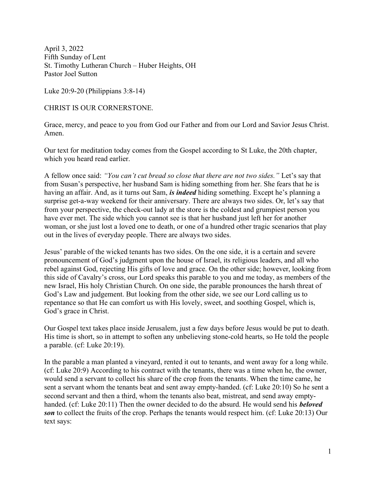April 3, 2022 Fifth Sunday of Lent St. Timothy Lutheran Church – Huber Heights, OH Pastor Joel Sutton

Luke 20:9-20 (Philippians 3:8-14)

CHRIST IS OUR CORNERSTONE.

Grace, mercy, and peace to you from God our Father and from our Lord and Savior Jesus Christ. Amen.

Our text for meditation today comes from the Gospel according to St Luke, the 20th chapter, which you heard read earlier.

A fellow once said: "You can't cut bread so close that there are not two sides." Let's say that from Susan's perspective, her husband Sam is hiding something from her. She fears that he is having an affair. And, as it turns out Sam, is indeed hiding something. Except he's planning a surprise get-a-way weekend for their anniversary. There are always two sides. Or, let's say that from your perspective, the check-out lady at the store is the coldest and grumpiest person you have ever met. The side which you cannot see is that her husband just left her for another woman, or she just lost a loved one to death, or one of a hundred other tragic scenarios that play out in the lives of everyday people. There are always two sides.

Jesus' parable of the wicked tenants has two sides. On the one side, it is a certain and severe pronouncement of God's judgment upon the house of Israel, its religious leaders, and all who rebel against God, rejecting His gifts of love and grace. On the other side; however, looking from this side of Cavalry's cross, our Lord speaks this parable to you and me today, as members of the new Israel, His holy Christian Church. On one side, the parable pronounces the harsh threat of God's Law and judgement. But looking from the other side, we see our Lord calling us to repentance so that He can comfort us with His lovely, sweet, and soothing Gospel, which is, God's grace in Christ.

Our Gospel text takes place inside Jerusalem, just a few days before Jesus would be put to death. His time is short, so in attempt to soften any unbelieving stone-cold hearts, so He told the people a parable. (cf: Luke 20:19).

In the parable a man planted a vineyard, rented it out to tenants, and went away for a long while. (cf: Luke 20:9) According to his contract with the tenants, there was a time when he, the owner, would send a servant to collect his share of the crop from the tenants. When the time came, he sent a servant whom the tenants beat and sent away empty-handed. (cf: Luke 20:10) So he sent a second servant and then a third, whom the tenants also beat, mistreat, and send away emptyhanded. (cf: Luke 20:11) Then the owner decided to do the absurd. He would send his **beloved** son to collect the fruits of the crop. Perhaps the tenants would respect him. (cf: Luke 20:13) Our text says: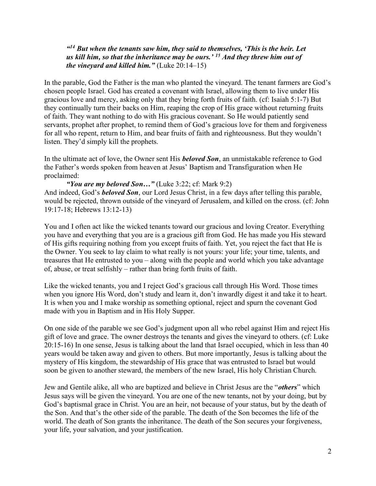$44B$ ut when the tenants saw him, they said to themselves, 'This is the heir. Let us kill him, so that the inheritance may be ours.<sup> $\cdot$  15</sup> And they threw him out of the vineyard and killed him." (Luke  $20:14-15$ )

In the parable, God the Father is the man who planted the vineyard. The tenant farmers are God's chosen people Israel. God has created a covenant with Israel, allowing them to live under His gracious love and mercy, asking only that they bring forth fruits of faith. (cf: Isaiah 5:1-7) But they continually turn their backs on Him, reaping the crop of His grace without returning fruits of faith. They want nothing to do with His gracious covenant. So He would patiently send servants, prophet after prophet, to remind them of God's gracious love for them and forgiveness for all who repent, return to Him, and bear fruits of faith and righteousness. But they wouldn't listen. They'd simply kill the prophets.

In the ultimate act of love, the Owner sent His **beloved Son**, an unmistakable reference to God the Father's words spoken from heaven at Jesus' Baptism and Transfiguration when He proclaimed:

```
"You are my beloved Son..." (Luke 3:22; cf: Mark 9:2)
```
And indeed, God's **beloved Son**, our Lord Jesus Christ, in a few days after telling this parable, would be rejected, thrown outside of the vineyard of Jerusalem, and killed on the cross. (cf: John 19:17-18; Hebrews 13:12-13)

You and I often act like the wicked tenants toward our gracious and loving Creator. Everything you have and everything that you are is a gracious gift from God. He has made you His steward of His gifts requiring nothing from you except fruits of faith. Yet, you reject the fact that He is the Owner. You seek to lay claim to what really is not yours: your life; your time, talents, and treasures that He entrusted to you – along with the people and world which you take advantage of, abuse, or treat selfishly – rather than bring forth fruits of faith.

Like the wicked tenants, you and I reject God's gracious call through His Word. Those times when you ignore His Word, don't study and learn it, don't inwardly digest it and take it to heart. It is when you and I make worship as something optional, reject and spurn the covenant God made with you in Baptism and in His Holy Supper.

On one side of the parable we see God's judgment upon all who rebel against Him and reject His gift of love and grace. The owner destroys the tenants and gives the vineyard to others. (cf: Luke 20:15-16) In one sense, Jesus is talking about the land that Israel occupied, which in less than 40 years would be taken away and given to others. But more importantly, Jesus is talking about the mystery of His kingdom, the stewardship of His grace that was entrusted to Israel but would soon be given to another steward, the members of the new Israel, His holy Christian Church.

Jew and Gentile alike, all who are baptized and believe in Christ Jesus are the "others" which Jesus says will be given the vineyard. You are one of the new tenants, not by your doing, but by God's baptismal grace in Christ. You are an heir, not because of your status, but by the death of the Son. And that's the other side of the parable. The death of the Son becomes the life of the world. The death of Son grants the inheritance. The death of the Son secures your forgiveness, your life, your salvation, and your justification.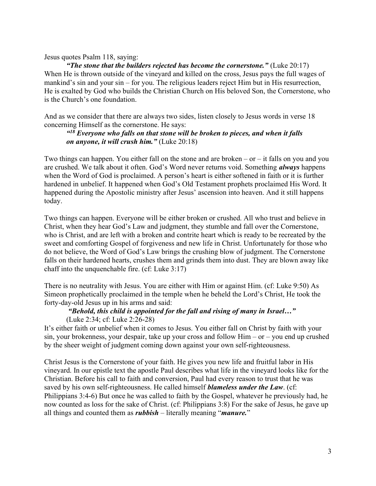#### Jesus quotes Psalm 118, saying:

"The stone that the builders rejected has become the cornerstone." (Luke  $20:17$ ) When He is thrown outside of the vineyard and killed on the cross, Jesus pays the full wages of mankind's sin and your sin – for you. The religious leaders reject Him but in His resurrection, He is exalted by God who builds the Christian Church on His beloved Son, the Cornerstone, who is the Church's one foundation.

And as we consider that there are always two sides, listen closely to Jesus words in verse 18 concerning Himself as the cornerstone. He says:

### $418$  Everyone who falls on that stone will be broken to pieces, and when it falls on anyone, it will crush him." (Luke 20:18)

Two things can happen. You either fall on the stone and are broken  $-$  or  $-$  it falls on you and you are crushed. We talk about it often. God's Word never returns void. Something *always* happens when the Word of God is proclaimed. A person's heart is either softened in faith or it is further hardened in unbelief. It happened when God's Old Testament prophets proclaimed His Word. It happened during the Apostolic ministry after Jesus' ascension into heaven. And it still happens today.

Two things can happen. Everyone will be either broken or crushed. All who trust and believe in Christ, when they hear God's Law and judgment, they stumble and fall over the Cornerstone, who is Christ, and are left with a broken and contrite heart which is ready to be recreated by the sweet and comforting Gospel of forgiveness and new life in Christ. Unfortunately for those who do not believe, the Word of God's Law brings the crushing blow of judgment. The Cornerstone falls on their hardened hearts, crushes them and grinds them into dust. They are blown away like chaff into the unquenchable fire. (cf: Luke 3:17)

There is no neutrality with Jesus. You are either with Him or against Him. (cf: Luke 9:50) As Simeon prophetically proclaimed in the temple when he beheld the Lord's Christ, He took the forty-day-old Jesus up in his arms and said:

# "Behold, this child is appointed for the fall and rising of many in Israel…"

#### (Luke 2:34; cf: Luke 2:26-28)

It's either faith or unbelief when it comes to Jesus. You either fall on Christ by faith with your sin, your brokenness, your despair, take up your cross and follow Him – or – you end up crushed by the sheer weight of judgment coming down against your own self-righteousness.

Christ Jesus is the Cornerstone of your faith. He gives you new life and fruitful labor in His vineyard. In our epistle text the apostle Paul describes what life in the vineyard looks like for the Christian. Before his call to faith and conversion, Paul had every reason to trust that he was saved by his own self-righteousness. He called himself *blameless under the Law*. (cf: Philippians 3:4-6) But once he was called to faith by the Gospel, whatever he previously had, he now counted as loss for the sake of Christ. (cf: Philippians 3:8) For the sake of Jesus, he gave up all things and counted them as  $\mathit{rubbish}$  – literally meaning "*manure*."